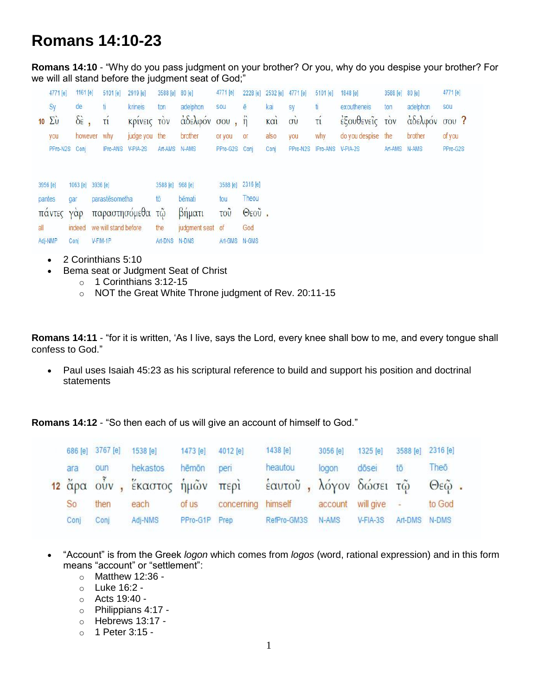## **Romans 14:10-23**

**Romans 14:10** - "Why do you pass judgment on your brother? Or you, why do you despise your brother? For we will all stand before the judgment seat of God;"

|          | 4771 [e]               | 1161 [e]                | 5101 [e]             | 2919 [e]         | 3588 [e]         | 80 [e]           | 4771 [e]          |               | 2228 [e] 2532 [e] 4771 [e] |                | 5101 [e]                   | 1848 [e]           | 3588 [e] 80 [e] |               | 4771 [e] |
|----------|------------------------|-------------------------|----------------------|------------------|------------------|------------------|-------------------|---------------|----------------------------|----------------|----------------------------|--------------------|-----------------|---------------|----------|
|          | Sy                     | de                      | ti                   | krineis          | ton              | adelphon         | sou               | ē             | kai                        | sy             | ti.                        | exoutheneis        | ton             | adelphon      | sou      |
|          | $10\ \Sigma \dot{\nu}$ | $\delta \dot{\epsilon}$ | τí                   | Κρινεις τον      |                  | άδελφόν σου, ή   |                   |               | KCl                        | $\vec{\sigma}$ | τí                         | έξουθενεΐς τον     |                 | άδελφόν σου ? |          |
|          | you                    | however                 | why                  | judge you the    |                  | brother          | or you            | <b>or</b>     | also                       | you            | why                        | do you despise the |                 | brother       | of you   |
|          | PPro-N2S               | Coni                    | IPro-ANS V-PIA-2S    |                  | Art-AMS N-AMS    |                  | PPro-G2S Conj     |               | Conj                       |                | PPro-N2S IPro-ANS V-PIA-2S |                    | Art-AMS N-AMS   |               | PPro-G2S |
|          |                        |                         |                      |                  |                  |                  |                   |               |                            |                |                            |                    |                 |               |          |
| 3956 [e] |                        | 1063 [e] 3936 [e]       |                      |                  | 3588 [e] 968 [e] |                  | 3588 [e] 2316 [e] |               |                            |                |                            |                    |                 |               |          |
| pantes   |                        | gar                     | parastēsometha       |                  | tō               | bēmati           | tou               | Theou         |                            |                |                            |                    |                 |               |          |
|          | παντες                 | $Y\alpha p$             |                      | παραστησόμεθα τῷ |                  | βήματι           | <b>TOU</b>        | $\Theta$ εοῦ. |                            |                |                            |                    |                 |               |          |
| all      |                        | indeed                  | we will stand before |                  | the              | judgment seat of |                   | God           |                            |                |                            |                    |                 |               |          |
|          | Adj-NMP                | Conj                    | V-FIM-1P             |                  | Art-DNS N-DNS    |                  | Art-GMS N-GMS     |               |                            |                |                            |                    |                 |               |          |

- 2 Corinthians 5:10
- Bema seat or Judgment Seat of Christ
	- $\circ$  1 Corinthians 3:12-15
	- o NOT the Great White Throne judgment of Rev. 20:11-15

**Romans 14:11** - "for it is written, 'As I live, says the Lord, every knee shall bow to me, and every tongue shall confess to God."

 Paul uses Isaiah 45:23 as his scriptural reference to build and support his position and doctrinal statements

**Romans 14:12** - "So then each of us will give an account of himself to God."

|      | 686 [e] 3767 [e] | 1538 [e]                                    | 1473 [e] | 4012 [e]   | 1438 [e]               | 3056 [e] | $1325$ [e]  | 3588 [e] | 2316 [e]           |  |
|------|------------------|---------------------------------------------|----------|------------|------------------------|----------|-------------|----------|--------------------|--|
| ara  | oun              | hekastos                                    | hēmōn    | peri       | heautou                | logon    | dōsei       | tō       | Theō               |  |
|      |                  | <mark>12</mark> ἄρα οὖν , ἕκαστος ἡμῶν περὶ |          |            | έαυτοῦ, λόγον δώσει τῷ |          |             |          | $Θε$ $\tilde{ω}$ . |  |
| So   | then             | each                                        | of us    | concerning | himself                | account  | will give - |          | to God             |  |
| Conj | Conj             | Adj-NMS                                     | PPro-G1P | Prep       | RefPro-GM3S            | N-AMS    | V-FIA-3S    | Art-DMS  | N-DMS              |  |
|      |                  |                                             |          |            |                        |          |             |          |                    |  |

- "Account" is from the Greek *logon* which comes from *logos* (word, rational expression) and in this form means "account" or "settlement":
	- $\circ$  Matthew 12:36 -
	- o Luke 16:2 -
	- o Acts 19:40 -
	- o Philippians 4:17 -
	- o Hebrews 13:17 -
	- o 1 Peter 3:15 -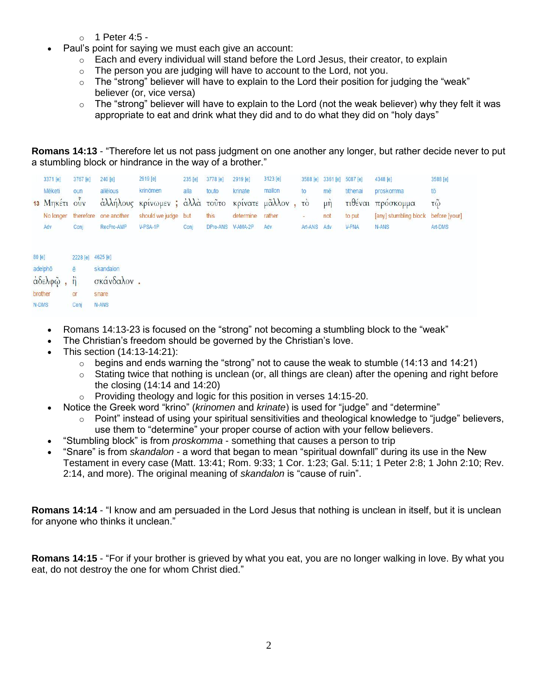- $\circ$  1 Peter 4:5 -
- Paul's point for saying we must each give an account:
	- $\circ$  Each and every individual will stand before the Lord Jesus, their creator, to explain
	- $\circ$  The person you are judging will have to account to the Lord, not you.
	- $\circ$  The "strong" believer will have to explain to the Lord their position for judging the "weak" believer (or, vice versa)
	- $\circ$  The "strong" believer will have to explain to the Lord (not the weak believer) why they felt it was appropriate to eat and drink what they did and to do what they did on "holy days"

**Romans 14:13** - "Therefore let us not pass judgment on one another any longer, but rather decide never to put a stumbling block or hindrance in the way of a brother."

|                                          | 3371 [e]      | 3767 [e]          | 240 [e]               | 2919 [e]                                         | 235 [e] | 3778 [e] | 2919 [e]          | 3123 [e] |             |     | 3588 [e] 3361 [e] 5087 [e] | 4348 [e]                            | 3588 [e] |
|------------------------------------------|---------------|-------------------|-----------------------|--------------------------------------------------|---------|----------|-------------------|----------|-------------|-----|----------------------------|-------------------------------------|----------|
|                                          | Mēketi        | oun               | allēlous              | krinömen                                         | alla    | touto    | krinate           | mallon   | to          | mē  | tithenai                   | proskomma                           | tō       |
|                                          | 13 Μηκέτι ούν |                   |                       | άλλήλους κρίνωμεν; άλλά τοῦτο κρίνατε μᾶλλον, τὸ |         |          |                   |          |             | μή  |                            | τιθέναι πρόσκομμα                   | τῶ       |
|                                          | No longer     |                   | therefore one another | should we judge but                              |         | this     | determine         | rather   | ÷           | not | to put                     | [any] stumbling block before [your] |          |
|                                          | Adv           | Conj              | RecPro-AMP            | V-PSA-1P                                         | Conj    |          | DPro-ANS V-AMA-2P | Adv      | Art-ANS Adv |     | <b>V-PNA</b>               | N-ANS                               | Art-DMS  |
|                                          |               |                   |                       |                                                  |         |          |                   |          |             |     |                            |                                     |          |
| 80 [e]                                   |               | 2228 [e] 4625 [e] |                       |                                                  |         |          |                   |          |             |     |                            |                                     |          |
|                                          | adelphō       | ē                 | skandalon             |                                                  |         |          |                   |          |             |     |                            |                                     |          |
| $\dot{\alpha}$ δελφ $\ddot{\varphi}$ , ή |               |                   | σκάνδαλον.            |                                                  |         |          |                   |          |             |     |                            |                                     |          |
|                                          | brother       | or                | snare                 |                                                  |         |          |                   |          |             |     |                            |                                     |          |

- Romans 14:13-23 is focused on the "strong" not becoming a stumbling block to the "weak"
- The Christian's freedom should be governed by the Christian's love.
- This section (14:13-14:21):

Conj N-ANS

 $N$ -DMS

- $\circ$  begins and ends warning the "strong" not to cause the weak to stumble (14:13 and 14:21)
- $\circ$  Stating twice that nothing is unclean (or, all things are clean) after the opening and right before the closing (14:14 and 14:20)
- $\circ$  Providing theology and logic for this position in verses 14:15-20.
- Notice the Greek word "krino" (*krinomen* and *krinate*) is used for "judge" and "determine"
	- $\circ$  Point" instead of using your spiritual sensitivities and theological knowledge to "judge" believers, use them to "determine" your proper course of action with your fellow believers.
- "Stumbling block" is from *proskomma* something that causes a person to trip
- "Snare" is from *skandalon* a word that began to mean "spiritual downfall" during its use in the New Testament in every case (Matt. 13:41; Rom. 9:33; 1 Cor. 1:23; Gal. 5:11; 1 Peter 2:8; 1 John 2:10; Rev. 2:14, and more). The original meaning of *skandalon* is "cause of ruin".

**Romans 14:14** - "I know and am persuaded in the Lord Jesus that nothing is unclean in itself, but it is unclean for anyone who thinks it unclean."

**Romans 14:15** - "For if your brother is grieved by what you eat, you are no longer walking in love. By what you eat, do not destroy the one for whom Christ died."